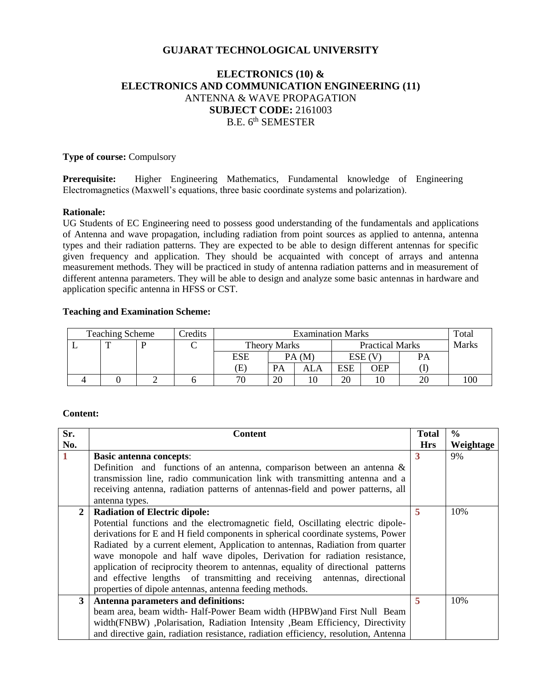# **GUJARAT TECHNOLOGICAL UNIVERSITY**

# **ELECTRONICS (10) & ELECTRONICS AND COMMUNICATION ENGINEERING (11)** ANTENNA & WAVE PROPAGATION **SUBJECT CODE:** 2161003 B.E. 6<sup>th</sup> SEMESTER

## **Type of course:** Compulsory

**Prerequisite:** Higher Engineering Mathematics, Fundamental knowledge of Engineering Electromagnetics (Maxwell's equations, three basic coordinate systems and polarization).

#### **Rationale:**

UG Students of EC Engineering need to possess good understanding of the fundamentals and applications of Antenna and wave propagation, including radiation from point sources as applied to antenna, antenna types and their radiation patterns. They are expected to be able to design different antennas for specific given frequency and application. They should be acquainted with concept of arrays and antenna measurement methods. They will be practiced in study of antenna radiation patterns and in measurement of different antenna parameters. They will be able to design and analyze some basic antennas in hardware and application specific antenna in HFSS or CST.

#### **Teaching and Examination Scheme:**

| <b>Teaching Scheme</b> |  |  | Credits | <b>Examination Marks</b> |    |                        |     | Total      |    |     |
|------------------------|--|--|---------|--------------------------|----|------------------------|-----|------------|----|-----|
|                        |  |  |         | <b>Theory Marks</b>      |    | <b>Practical Marks</b> |     | Marks      |    |     |
|                        |  |  |         | ESE                      |    | PA(M)                  |     | ESE (V     | PА |     |
|                        |  |  |         | Œ                        | PA | ALA                    | ESE | <b>JEP</b> |    |     |
|                        |  |  |         | 70                       | 20 | 10                     | 20  |            |    | 100 |

## **Content:**

| Sr.            | <b>Content</b>                                                                      | <b>Total</b> | $\frac{6}{9}$ |
|----------------|-------------------------------------------------------------------------------------|--------------|---------------|
| No.            |                                                                                     | <b>Hrs</b>   | Weightage     |
| 1              | <b>Basic antenna concepts:</b>                                                      | 3            | 9%            |
|                | Definition and functions of an antenna, comparison between an antenna $\&$          |              |               |
|                | transmission line, radio communication link with transmitting antenna and a         |              |               |
|                | receiving antenna, radiation patterns of antennas-field and power patterns, all     |              |               |
|                | antenna types.                                                                      |              |               |
| $\overline{2}$ | <b>Radiation of Electric dipole:</b>                                                | 5            | 10%           |
|                | Potential functions and the electromagnetic field, Oscillating electric dipole-     |              |               |
|                | derivations for E and H field components in spherical coordinate systems, Power     |              |               |
|                | Radiated by a current element, Application to antennas, Radiation from quarter      |              |               |
|                | wave monopole and half wave dipoles, Derivation for radiation resistance,           |              |               |
|                | application of reciprocity theorem to antennas, equality of directional patterns    |              |               |
|                | and effective lengths of transmitting and receiving antennas, directional           |              |               |
|                | properties of dipole antennas, antenna feeding methods.                             |              |               |
| 3 <sup>1</sup> | Antenna parameters and definitions:                                                 | 5            | 10%           |
|                | beam area, beam width-Half-Power Beam width (HPBW) and First Null Beam              |              |               |
|                | width (FNBW), Polarisation, Radiation Intensity, Beam Efficiency, Directivity       |              |               |
|                | and directive gain, radiation resistance, radiation efficiency, resolution, Antenna |              |               |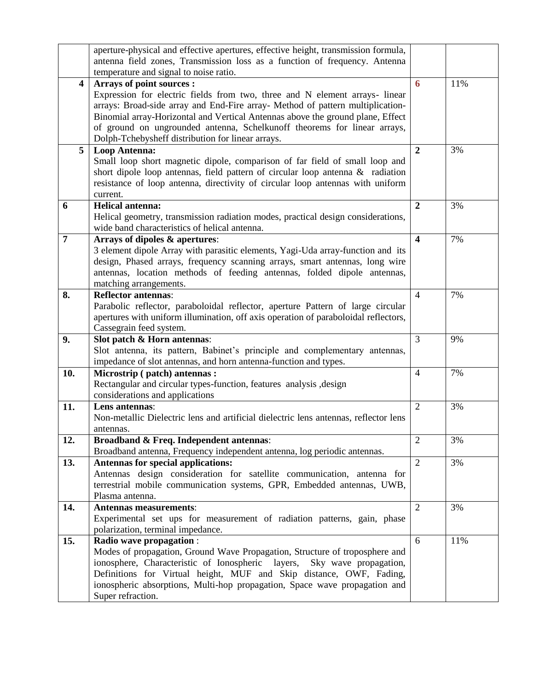|                         | aperture-physical and effective apertures, effective height, transmission formula,   |                         |     |
|-------------------------|--------------------------------------------------------------------------------------|-------------------------|-----|
|                         | antenna field zones, Transmission loss as a function of frequency. Antenna           |                         |     |
|                         | temperature and signal to noise ratio.                                               |                         |     |
| $\overline{\mathbf{4}}$ | Arrays of point sources :                                                            | 6                       | 11% |
|                         | Expression for electric fields from two, three and N element arrays- linear          |                         |     |
|                         | arrays: Broad-side array and End-Fire array- Method of pattern multiplication-       |                         |     |
|                         | Binomial array-Horizontal and Vertical Antennas above the ground plane, Effect       |                         |     |
|                         | of ground on ungrounded antenna, Schelkunoff theorems for linear arrays,             |                         |     |
|                         | Dolph-Tchebysheff distribution for linear arrays.                                    |                         |     |
| 5                       | <b>Loop Antenna:</b>                                                                 | $\boldsymbol{2}$        | 3%  |
|                         | Small loop short magnetic dipole, comparison of far field of small loop and          |                         |     |
|                         | short dipole loop antennas, field pattern of circular loop antenna $\&$ radiation    |                         |     |
|                         | resistance of loop antenna, directivity of circular loop antennas with uniform       |                         |     |
|                         | current.                                                                             |                         |     |
| 6                       | <b>Helical antenna:</b>                                                              | $\overline{2}$          | 3%  |
|                         | Helical geometry, transmission radiation modes, practical design considerations,     |                         |     |
|                         | wide band characteristics of helical antenna.                                        |                         |     |
| 7                       | Arrays of dipoles & apertures:                                                       | $\overline{\mathbf{4}}$ | 7%  |
|                         | 3 element dipole Array with parasitic elements, Yagi-Uda array-function and its      |                         |     |
|                         | design, Phased arrays, frequency scanning arrays, smart antennas, long wire          |                         |     |
|                         | antennas, location methods of feeding antennas, folded dipole antennas,              |                         |     |
|                         | matching arrangements.                                                               |                         |     |
| 8.                      | <b>Reflector antennas:</b>                                                           | $\overline{4}$          | 7%  |
|                         | Parabolic reflector, paraboloidal reflector, aperture Pattern of large circular      |                         |     |
|                         | apertures with uniform illumination, off axis operation of paraboloidal reflectors,  |                         |     |
|                         | Cassegrain feed system.                                                              |                         |     |
| 9.                      | Slot patch & Horn antennas:                                                          | 3                       | 9%  |
|                         | Slot antenna, its pattern, Babinet's principle and complementary antennas,           |                         |     |
|                         | impedance of slot antennas, and horn antenna-function and types.                     |                         |     |
| 10.                     | Microstrip (patch) antennas:                                                         | $\overline{4}$          | 7%  |
|                         | Rectangular and circular types-function, features analysis , design                  |                         |     |
|                         | considerations and applications                                                      |                         |     |
| 11.                     | Lens antennas:                                                                       | $\overline{2}$          | 3%  |
|                         | Non-metallic Dielectric lens and artificial dielectric lens antennas, reflector lens |                         |     |
|                         | antennas.                                                                            |                         |     |
| 12.                     | <b>Broadband &amp; Freq. Independent antennas:</b>                                   | $\mathbf{2}$            | 3%  |
|                         | Broadband antenna, Frequency independent antenna, log periodic antennas.             |                         |     |
| 13.                     | Antennas for special applications:                                                   | $\overline{2}$          | 3%  |
|                         | Antennas design consideration for satellite communication, antenna for               |                         |     |
|                         | terrestrial mobile communication systems, GPR, Embedded antennas, UWB,               |                         |     |
|                         | Plasma antenna.                                                                      |                         |     |
| 14.                     | <b>Antennas measurements:</b>                                                        | 2                       | 3%  |
|                         | Experimental set ups for measurement of radiation patterns, gain, phase              |                         |     |
|                         | polarization, terminal impedance.                                                    |                         |     |
| 15.                     | Radio wave propagation :                                                             | 6                       | 11% |
|                         | Modes of propagation, Ground Wave Propagation, Structure of troposphere and          |                         |     |
|                         | ionosphere, Characteristic of Ionospheric<br>layers,<br>Sky wave propagation,        |                         |     |
|                         | Definitions for Virtual height, MUF and Skip distance, OWF, Fading,                  |                         |     |
|                         | ionospheric absorptions, Multi-hop propagation, Space wave propagation and           |                         |     |
|                         | Super refraction.                                                                    |                         |     |
|                         |                                                                                      |                         |     |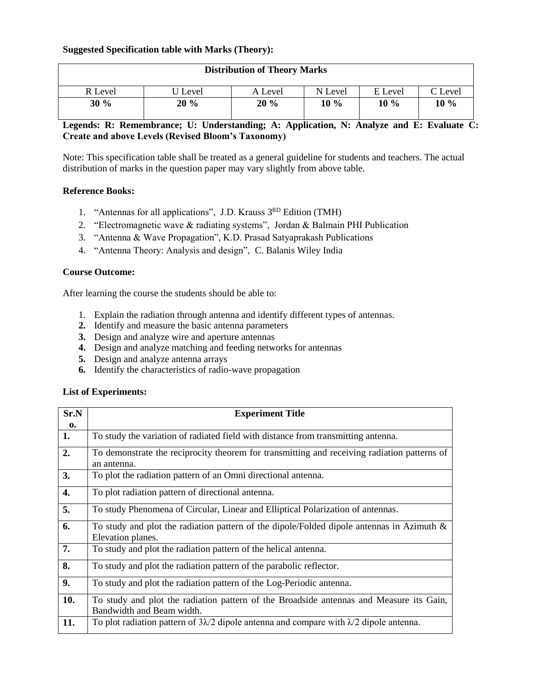## **Suggested Specification table with Marks (Theory):**

| <b>Distribution of Theory Marks</b> |         |         |         |         |         |
|-------------------------------------|---------|---------|---------|---------|---------|
| R Level                             | J Level | A Level | N Level | E Level | C Level |
| 30%                                 | 20%     | 20%     | $10\%$  | $10\%$  | 10 %    |

# **Legends: R: Remembrance; U: Understanding; A: Application, N: Analyze and E: Evaluate C: Create and above Levels (Revised Bloom's Taxonomy)**

Note: This specification table shall be treated as a general guideline for students and teachers. The actual distribution of marks in the question paper may vary slightly from above table.

#### **Reference Books:**

- 1. "Antennas for all applications", J.D. Krauss 3RD Edition (TMH)
- 2. "Electromagnetic wave & radiating systems", Jordan & Balmain PHI Publication
- 3. "Antenna & Wave Propagation", K.D. Prasad Satyaprakash Publications
- 4. "Antenna Theory: Analysis and design", C. Balanis Wiley India

### **Course Outcome:**

After learning the course the students should be able to:

- 1. Explain the radiation through antenna and identify different types of antennas.
- **2.** Identify and measure the basic antenna parameters
- **3.** Design and analyze wire and aperture antennas
- **4.** Design and analyze matching and feeding networks for antennas
- **5.** Design and analyze antenna arrays
- **6.** Identify the characteristics of radio-wave propagation

### **List of Experiments:**

| Sr.N | <b>Experiment Title</b>                                                                                           |  |  |  |  |
|------|-------------------------------------------------------------------------------------------------------------------|--|--|--|--|
| 0.   |                                                                                                                   |  |  |  |  |
| 1.   | To study the variation of radiated field with distance from transmitting antenna.                                 |  |  |  |  |
| 2.   | To demonstrate the reciprocity theorem for transmitting and receiving radiation patterns of<br>an antenna.        |  |  |  |  |
| 3.   | To plot the radiation pattern of an Omni directional antenna.                                                     |  |  |  |  |
| 4.   | To plot radiation pattern of directional antenna.                                                                 |  |  |  |  |
| 5.   | To study Phenomena of Circular, Linear and Elliptical Polarization of antennas.                                   |  |  |  |  |
| 6.   | To study and plot the radiation pattern of the dipole/Folded dipole antennas in Azimuth $\&$<br>Elevation planes. |  |  |  |  |
| 7.   | To study and plot the radiation pattern of the helical antenna.                                                   |  |  |  |  |
| 8.   | To study and plot the radiation pattern of the parabolic reflector.                                               |  |  |  |  |
| 9.   | To study and plot the radiation pattern of the Log-Periodic antenna.                                              |  |  |  |  |
| 10.  | To study and plot the radiation pattern of the Broadside antennas and Measure its Gain,                           |  |  |  |  |
|      | Bandwidth and Beam width.                                                                                         |  |  |  |  |
| 11.  | To plot radiation pattern of $3\lambda/2$ dipole antenna and compare with $\lambda/2$ dipole antenna.             |  |  |  |  |